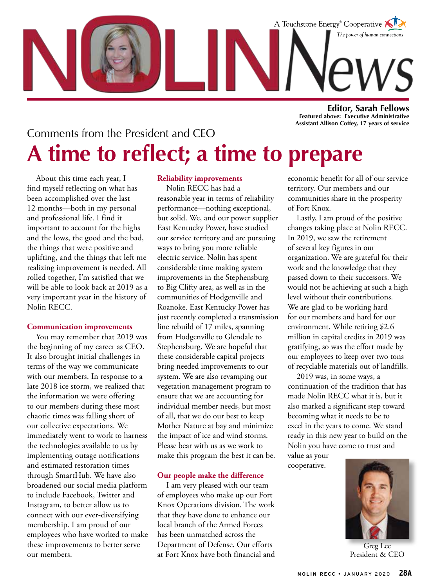

**Editor, Sarah Fellows Featured above: Executive Administrative Assistant Allison Coffey, 17 years of service**

## Comments from the President and CEO **A time to reflect; a time to prepare**

About this time each year, I find myself reflecting on what has been accomplished over the last 12 months—both in my personal and professional life. I find it important to account for the highs and the lows, the good and the bad, the things that were positive and uplifting, and the things that left me realizing improvement is needed. All rolled together, I'm satisfied that we will be able to look back at 2019 as a very important year in the history of Nolin RECC.

### **Communication improvements**

You may remember that 2019 was the beginning of my career as CEO. It also brought initial challenges in terms of the way we communicate with our members. In response to a late 2018 ice storm, we realized that the information we were offering to our members during these most chaotic times was falling short of our collective expectations. We immediately went to work to harness the technologies available to us by implementing outage notifications and estimated restoration times through SmartHub. We have also broadened our social media platform to include Facebook, Twitter and Instagram, to better allow us to connect with our ever-diversifying membership. I am proud of our employees who have worked to make these improvements to better serve our members.

### **Reliability improvements**

Nolin RECC has had a reasonable year in terms of reliability performance—nothing exceptional, but solid. We, and our power supplier East Kentucky Power, have studied our service territory and are pursuing ways to bring you more reliable electric service. Nolin has spent considerable time making system improvements in the Stephensburg to Big Clifty area, as well as in the communities of Hodgenville and Roanoke. East Kentucky Power has just recently completed a transmission line rebuild of 17 miles, spanning from Hodgenville to Glendale to Stephensburg. We are hopeful that these considerable capital projects bring needed improvements to our system. We are also revamping our vegetation management program to ensure that we are accounting for individual member needs, but most of all, that we do our best to keep Mother Nature at bay and minimize the impact of ice and wind storms. Please bear with us as we work to make this program the best it can be.

### **Our people make the difference**

I am very pleased with our team of employees who make up our Fort Knox Operations division. The work that they have done to enhance our local branch of the Armed Forces has been unmatched across the Department of Defense. Our efforts at Fort Knox have both financial and economic benefit for all of our service territory. Our members and our communities share in the prosperity of Fort Knox.

Lastly, I am proud of the positive changes taking place at Nolin RECC. In 2019, we saw the retirement of several key figures in our organization. We are grateful for their work and the knowledge that they passed down to their successors. We would not be achieving at such a high level without their contributions. We are glad to be working hard for our members and hard for our environment. While retiring \$2.6 million in capital credits in 2019 was gratifying, so was the effort made by our employees to keep over two tons of recyclable materials out of landfills.

2019 was, in some ways, a continuation of the tradition that has made Nolin RECC what it is, but it also marked a significant step toward becoming what it needs to be to excel in the years to come. We stand ready in this new year to build on the Nolin you have come to trust and

value as your cooperative.



Greg Lee President & CEO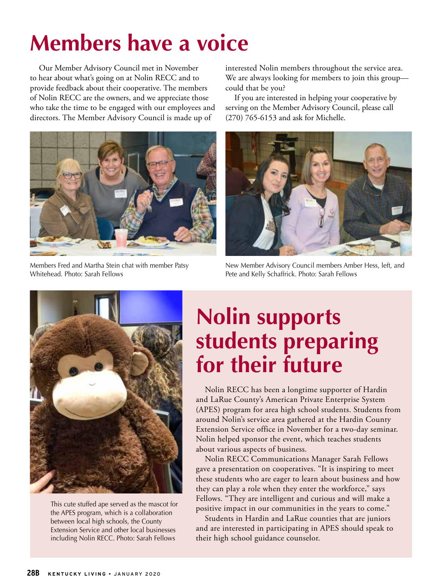## **Members have a voice**

Our Member Advisory Council met in November to hear about what's going on at Nolin RECC and to provide feedback about their cooperative. The members of Nolin RECC are the owners, and we appreciate those who take the time to be engaged with our employees and directors. The Member Advisory Council is made up of



Members Fred and Martha Stein chat with member Patsy Whitehead. Photo: Sarah Fellows

interested Nolin members throughout the service area. We are always looking for members to join this group could that be you?

If you are interested in helping your cooperative by serving on the Member Advisory Council, please call (270) 765-6153 and ask for Michelle.



New Member Advisory Council members Amber Hess, left, and Pete and Kelly Schaffrick. Photo: Sarah Fellows



This cute stuffed ape served as the mascot for the APES program, which is a collaboration between local high schools, the County Extension Service and other local businesses including Nolin RECC. Photo: Sarah Fellows

## **Nolin supports students preparing for their future**

Nolin RECC has been a longtime supporter of Hardin and LaRue County's American Private Enterprise System (APES) program for area high school students. Students from around Nolin's service area gathered at the Hardin County Extension Service office in November for a two-day seminar. Nolin helped sponsor the event, which teaches students about various aspects of business.

Nolin RECC Communications Manager Sarah Fellows gave a presentation on cooperatives. "It is inspiring to meet these students who are eager to learn about business and how they can play a role when they enter the workforce," says Fellows. "They are intelligent and curious and will make a positive impact in our communities in the years to come."

Students in Hardin and LaRue counties that are juniors and are interested in participating in APES should speak to their high school guidance counselor.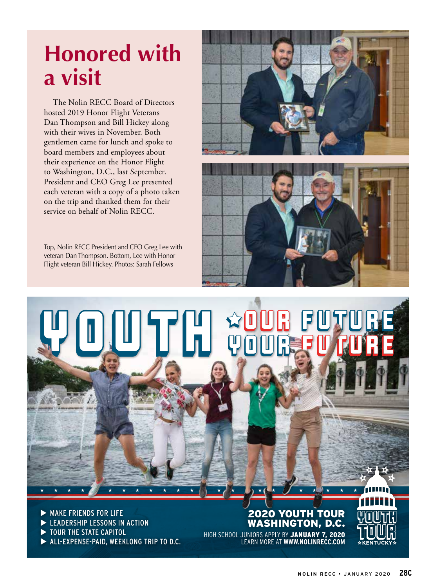# **Honored with a visit**

The Nolin RECC Board of Directors hosted 2019 Honor Flight Veterans Dan Thompson and Bill Hickey along with their wives in November. Both gentlemen came for lunch and spoke to board members and employees about their experience on the Honor Flight to Washington, D.C., last September. President and CEO Greg Lee presented each veteran with a copy of a photo taken on the trip and thanked them for their service on behalf of Nolin RECC.

Top, Nolin RECC President and CEO Greg Lee with veteran Dan Thompson. Bottom, Lee with Honor Flight veteran Bill Hickey. Photos: Sarah Fellows





 $\triangleright$  MAKE FRIENDS FOR LIFE EXPLEADERSHIP LESSONS IN ACTION TOUR THE STATE CAPITOL ALL-EXPENSE-PAID, WEEKLONG TRIP TO D.C.

## 2020 YOUTH TOUR WASHINGTON, D.C. HIGH SCHOOL JUNIORS APPLY BY JANUARY 7, 2020 LEARN MORE AT **WWW.NOLINRECC.COM**